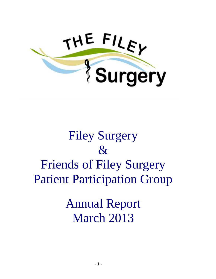

# Filey Surgery & Friends of Filey Surgery Patient Participation Group

Annual Report March 2013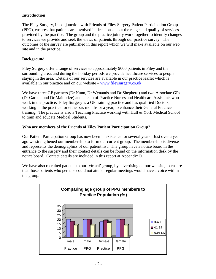### **Introduction**

The Filey Surgery, in conjunction with Friends of Filey Surgery Patient Participation Group (PPG), ensures that patients are involved in decisions about the range and quality of services provided by the practice. The group and the practice jointly work together to identify changes to services we provide and seek the views of patients through our practice survey. The outcomes of the survey are published in this report which we will make available on our web site and in the practice.

### **Background**

Filey Surgery offer a range of services to approximately 9000 patients in Filey and the surrounding area, and during the holiday periods we provide healthcare services to people staying in the area. Details of our services are available in our practice leaflet which is available in our practice and on our website – [www.fileysurgery.co.uk](http://www.fileysurgery.co.uk/)

We have three GP partners (Dr Nunn, Dr Wynands and Dr Shepherd) and two Associate GPs (Dr Garnett and Dr Mainprize) and a team of Practice Nurses and Healthcare Assistants who work in the practice. Filey Surgery is a GP training practice and has qualified Doctors, working in the practice for either six months or a year, to enhance their General Practice training. The practice is also a Teaching Practice working with Hull & York Medical School to train and educate Medical Students.

### **Who are members of the Friends of Filey Patient Participation Group?**

Our Patient Participation Group has now been in existence for several years. Just over a year ago we strengthened our membership to form our current group. The membership is diverse and represents the demographics of our patient list. The group have a notice board in the entrance to the surgery and their contact details can be found on the information desk by the notice board. Contact details are included in this report at Appendix D.

We have also recruited patients to our 'virtual' group, by advertising on our website, to ensure that those patients who perhaps could not attend regular meetings would have a voice within the group.

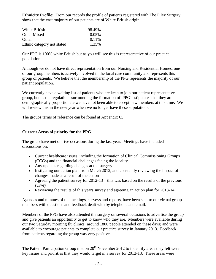**Ethnicity Profile**: From our records the profile of patients registered with The Filey Surgery show that the vast majority of our patients are of White British origin.

| White British              | 98.49% |
|----------------------------|--------|
| Other Mixed                | 0.05%  |
| Other                      | 0.11\% |
| Ethnic category not stated | 1.35%  |

Our PPG is 100% white British but as you will see this is representative of our practice population.

Although we do not have direct representation from our Nursing and Residential Homes, one of our group members is actively involved in the local care community and represents this group of patients. We believe that the membership of the PPG represents the majority of our patient population.

We currently have a waiting list of patients who are keen to join our patient representative group, but as the regulations surrounding the formation of PPG's stipulates that they are demographically proportionate we have not been able to accept new members at this time. We will review this in the new year when we no longer have these stipulations.

The groups terms of reference can be found at Appendix C.

### **Current Areas of priority for the PPG**

The group have met on five occasions during the last year. Meetings have included discussions on:

- Current healthcare issues, including the formation of Clinical Commissioning Groups (CCGs) and the financial challenges facing the locality
- Any updates regarding changes at the surgery
- Instigating our action plan from March 2012, and constantly reviewing the impact of changes made as a result of the action
- Agreeing the patient survey for  $2012-13$  this was based on the results of the previous survey
- Reviewing the results of this years survey and agreeing an action plan for 2013-14

Agendas and minutes of the meetings, surveys and reports, have been sent to our virtual group members with questions and feedback dealt with by telephone and email.

Members of the PPG have also attended the surgery on several occasions to advertise the group and give patients an opportunity to get to know who they are. Members were available during our two Saturday morning flu clinics (around 1800 people attended on these days) and were available to encourage patients to complete our practice survey in January 2013. Feedback from patients regarding the group was very positive.

The Patient Participation Group met on  $20<sup>th</sup>$  November 2012 to indentify areas they felt were key issues and priorities that they would target in a survey for 2012-13. These areas were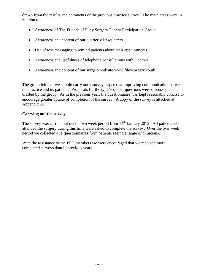drawn from the results and comments of the previous practice survey. The main areas were in relation to:

- Awareness of The Friends of Filey Surgery Patient Participation Group
- Awareness and content of our quarterly Newsletters
- Use of text messaging to remind patients about their appointments
- Awareness and usefulness of telephone consultations with Doctors
- Awareness and content of our surgery website www.fileysurgery.co.uk

The group felt that we should carry out a survey targeted at improving communication between the practice and its patients. Proposals for the type/scope of questions were discussed and drafted by the group. As in the previous year, the questionnaire was kept reasonably concise to encourage greater uptake of completion of the survey. A copy of the survey is attached at Appendix A.

### **Carrying out the survey**

The survey was carried out over a two week period from  $14<sup>th</sup>$  January 2013. All patients who attended the surgery during this time were asked to complete the survey. Over the two week period we collected 401 questionnaires from patients seeing a range of clinicians.

With the assistance of the PPG members we were encouraged that we received more completed surveys than in previous years.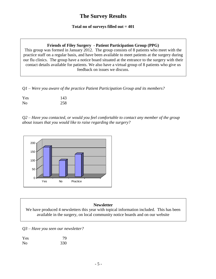### **The Survey Results**

### **Total no of surveys filled out = 401**

### **Friends of Filey Surgery - Patient Participation Group (PPG)**

This group was formed in January 2012. The group consists of 8 patients who meet with the practice staff on a regular basis, and have been available to meet patients at the surgery during our flu clinics. The group have a notice board situated at the entrance to the surgery with their contact details available for patients. We also have a virtual group of 8 patients who give us feedback on issues we discuss.

*Q1 – Were you aware of the practice Patient Participation Group and its members?*

| Yes | 143 |
|-----|-----|
| No  | 258 |

*Q2 – Have you contacted, or would you feel comfortable to contact any member of the group about issues that you would like to raise regarding the surgery?*



### **Newsletter**

We have produced 4 newsletters this year with topical information included. This has been available in the surgery, on local community notice boards and on our website

*Q3 – Have you seen our newsletter?*

| Yes            | 79  |
|----------------|-----|
| N <sub>0</sub> | 330 |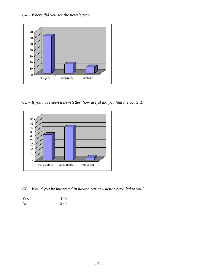

*Q5 – If you have seen a newsletter, how useful did you find the content?*



*Q6 – Would you be interested in having our newsletter e-mailed to you?*

| Yes | 126 |
|-----|-----|
| No  | 238 |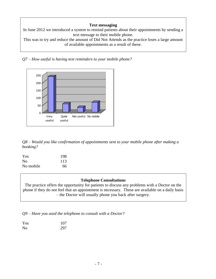### **Text messaging**

In June 2012 we introduced a system to remind patients about their appointments by sending a text message to their mobile phone.

This was to try and reduce the amount of Did Not Attends as the practice loses a large amount of available appointments as a result of these.

*Q7 – How useful is having text reminders to your mobile phone?*



*Q8 – Would you like confirmation of appointments sent to your mobile phone after making a booking?*

| Yes            | 198 |
|----------------|-----|
| N <sub>0</sub> | 113 |
| No mobile      | 66  |

### **Telephone Consultations**

The practice offers the opportunity for patients to discuss any problems with a Doctor on the phone if they do not feel that an appointment is necessary. These are available on a daily basis – the Doctor will usually phone you back after surgery.

*Q9 – Have you used the telephone to consult with a Doctor?*

Yes 107 No 297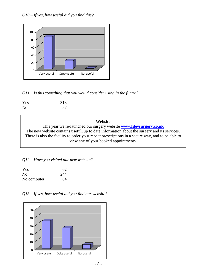

*Q11 – Is this something that you would consider using in the future?*

| Yes | 313 |  |
|-----|-----|--|
| No  | 57  |  |

### **Website**

This year we re-launched our surgery website **[www.fileysurgery.co.uk](http://www.fileysurgery.co.uk/)** The new website contains useful, up to date information about the surgery and its services. There is also the facility to order your repeat prescriptions in a secure way, and to be able to view any of your booked appointments.

### *Q12 – Have you visited our new website?*

| Yes            | 62  |
|----------------|-----|
| N <sub>0</sub> | 244 |
| No computer    | 84  |



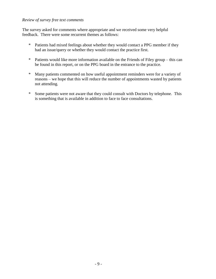### *Review of survey free text comments*

The survey asked for comments where appropriate and we received some very helpful feedback. There were some recurrent themes as follows:

- \* Patients had mixed feelings about whether they would contact a PPG member if they had an issue/query or whether they would contact the practice first.
- \* Patients would like more information available on the Friends of Filey group this can be found in this report, or on the PPG board in the entrance to the practice.
- \* Many patients commented on how useful appointment reminders were for a variety of reasons – we hope that this will reduce the number of appointments wasted by patients not attending.
- \* Some patients were not aware that they could consult with Doctors by telephone. This is something that is available in addition to face to face consultations.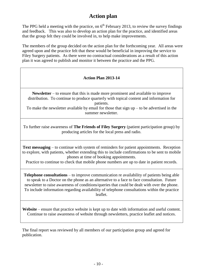### **Action plan**

The PPG held a meeting with the practice, on  $6<sup>th</sup>$  February 2013, to review the survey findings and feedback. This was also to develop an action plan for the practice, and identified areas that the group felt they could be involved in, to help make improvements.

The members of the group decided on the action plan for the forthcoming year. All areas were agreed upon and the practice felt that these would be beneficial in improving the service to Filey Surgery patients. As there were no contractual considerations as a result of this action plan it was agreed to publish and monitor it between the practice and the PPG.

### **Action Plan 2013-14**

**Newsletter** – to ensure that this is made more prominent and available to improve distribution. To continue to produce quarterly with topical content and information for patients.

To make the newsletter available by email for those that sign  $up - to$  be advertised in the summer newsletter.

To further raise awareness of **The Friends of Filey Surgery** (patient participation group) by producing articles for the local press and radio.

**Text messaging** – to continue with system of reminders for patient appointments. Reception to explore, with patients, whether extending this to include confirmations to be sent to mobile phones at time of booking appointments.

Practice to continue to check that mobile phone numbers are up to date in patient records.

**Telephone consultations** – to improve communication re availability of patients being able to speak to a Doctor on the phone as an alternative to a face to face consultation. Future newsletter to raise awareness of conditions/queries that could be dealt with over the phone. To include information regarding availability of telephone consultations within the practice leaflet.

**Website** – ensure that practice website is kept up to date with information and useful content. Continue to raise awareness of website through newsletters, practice leaflet and notices.

The final report was reviewed by all members of our participation group and agreed for publication.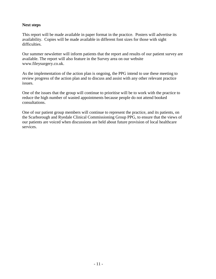### **Next steps**

This report will be made available in paper format in the practice. Posters will advertise its availability. Copies will be made available in different font sizes for those with sight difficulties.

Our summer newsletter will inform patients that the report and results of our patient survey are available. The report will also feature in the Survey area on our website www.fileysurgery.co.uk.

As the implementation of the action plan is ongoing, the PPG intend to use these meeting to review progress of the action plan and to discuss and assist with any other relevant practice issues.

One of the issues that the group will continue to prioritise will be to work with the practice to reduce the high number of wasted appointments because people do not attend booked consultations.

One of our patient group members will continue to represent the practice, and its patients, on the Scarborough and Ryedale Clinical Commissioning Group PPG, to ensure that the views of our patients are voiced when discussions are held about future provision of local healthcare services.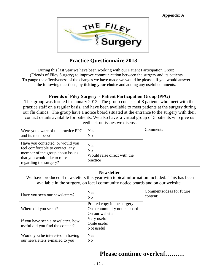

## **Practice Questionnaire 2013**

During this last year we have been working with our Patient Participation Group (Friends of Filey Surgery) to improve communication between the surgery and its patients. To gauge the effectiveness of the changes we have made we would be pleased if you would answer the following questions, by **ticking your choice** and adding any useful comments.

### **Friends of Filey Surgery - Patient Participation Group (PPG)**

This group was formed in January 2012. The group consists of 8 patients who meet with the practice staff on a regular basis, and have been available to meet patients at the surgery during our flu clinics. The group have a notice board situated at the entrance to the surgery with their contact details available for patients. We also have a virtual group of 5 patients who give us feedback on issues we discuss.

| Were you aware of the practice PPG<br>and its members?                                                                                                             | Yes<br>N <sub>0</sub>                                            | Comments |
|--------------------------------------------------------------------------------------------------------------------------------------------------------------------|------------------------------------------------------------------|----------|
| Have you contacted, or would you<br>feel comfortable to contact, any<br>member of the group about issues<br>that you would like to raise<br>regarding the surgery? | Yes<br>N <sub>o</sub><br>Would raise direct with the<br>practice |          |

### **Newsletter**

We have produced 4 newsletters this year with topical information included. This has been available in the surgery, on local community notice boards and on our website.

| Have you seen our new sletters?                                        | Yes<br>No                                                                    | Comments/ideas for future<br>content: |
|------------------------------------------------------------------------|------------------------------------------------------------------------------|---------------------------------------|
| Where did you see it?                                                  | Printed copy in the surgery<br>On a community notice board<br>On our website |                                       |
| If you have seen a newsletter, how<br>useful did you find the content? | Very useful<br>Quite useful<br>Not useful                                    |                                       |
| Would you be interested in having<br>our newsletters e-mailed to you   | Yes<br>N <sub>0</sub>                                                        |                                       |

# **Please continue overleaf………**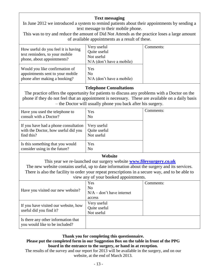### **Text messaging**

In June 2012 we introduced a system to remind patients about their appointments by sending a text message to their mobile phone.

This was to try and reduce the amount of Did Not Attends as the practice loses a large amount of available appointments as a result of these.

| How useful do you feel it is having<br>text reminders, to your mobile<br>phone, about appointments? | Very useful<br>Quite useful<br>Not useful<br>$N/A$ (don't have a mobile) | Comments: |
|-----------------------------------------------------------------------------------------------------|--------------------------------------------------------------------------|-----------|
| Would you like confirmation of<br>appointments sent to your mobile<br>phone after making a booking? | Yes<br>N <sub>0</sub><br>$N/A$ (don't have a mobile)                     |           |

### **Telephone Consultations**

The practice offers the opportunity for patients to discuss any problems with a Doctor on the phone if they do not feel that an appointment is necessary. These are available on a daily basis – the Doctor will usually phone you back after his surgery.

| Have you used the telephone to<br>consult with a Doctor?                                  | Yes<br>N <sub>0</sub>                     | Comments: |
|-------------------------------------------------------------------------------------------|-------------------------------------------|-----------|
| If you have had a phone consultation<br>with the Doctor, how useful did you<br>find this? | Very useful<br>Quite useful<br>Not useful |           |
| Is this something that you would<br>consider using in the future?                         | Yes<br>N <sub>o</sub>                     |           |

### **Website**

This year we re-launched our surgery website **[www.fileysurgery.co.uk](http://www.fileysurgery.co.uk/)** The new website contains useful, up to date information about the surgery and its services.

There is also the facility to order your repeat prescriptions in a secure way, and to be able to view any of your booked appointments.

| Have you visited our new website?                                     | Yes<br>N <sub>0</sub><br>$N/A$ – don't have internet | Comments: |
|-----------------------------------------------------------------------|------------------------------------------------------|-----------|
|                                                                       | access                                               |           |
| If you have visited our website, how<br>useful did you find it?       | Very useful<br>Quite useful<br>Not useful            |           |
| Is there any other information that<br>you would like to be included? |                                                      |           |

### **Thank you for completing this questionnaire.**

### **Please put the completed form in our Suggestion Box on the table in front of the PPG board in the entrance to the surgery, or hand in at reception.**

The results of the survey and our report for 2013 will be available in the surgery, and on our website, at the end of March 2013.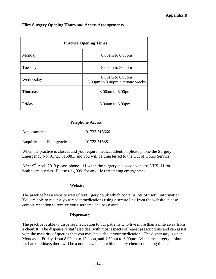### **Filey Surgery Opening Hours and Access Arrangements**

| <b>Practice Opening Times</b> |                                                            |  |
|-------------------------------|------------------------------------------------------------|--|
| Monday                        | 8.00am to 6.00pm                                           |  |
| Tuesday                       | 8.00 am to 8.00 pm                                         |  |
| Wednesday                     | $8.00$ am to $6.00$ pm<br>6.00pm to 8.00pm alternate weeks |  |
| Thursday                      | 8.00am to 6.00pm                                           |  |
| Friday                        | $8.00$ am to $6.00$ pm                                     |  |

### **Telephone Access**

| Appointments                     | 01723 515666 |  |
|----------------------------------|--------------|--|
| <b>Enquiries and Emergencies</b> | 01723 515881 |  |

When the practice is closed, and you require medical attention please phone the Surgery Emergency No, 01723 515881, and you will be transferred to the Out of Hours Service.

After  $9<sup>th</sup>$  April 2013 please phone 111 when the surgery is closed to access NHS111 for healthcare queries. Please ring 999 for any life threatening emergencies.

#### **Website**

The practice has a website www.fileysurgery.co.uk which contains lots of useful information. You are able to request your repeat medications using a secure link from the website, please contact reception to receive you username and password.

#### **Dispensary**

The practice is able to dispense medication to our patients who live more than a mile away from a chemist. The dispensary staff also deal with most aspects of repeat prescriptions and can assist with the majority of queries that you may have about your medication. The dispensary is open Monday to Friday, from 8.00am to 12 noon, and 1.30pm to 6.00pm. When the surgery is shut for bank holidays there will be a notice available with the duty chemist opening times.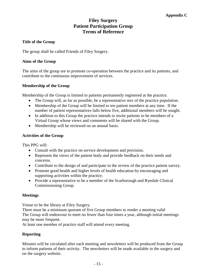### **Filey Surgery Patient Participation Group Terms of Reference**

### **Title of the Group**

The group shall be called Friends of Filey Surgery.

### **Aims of the Group**

The aims of the group are to promote co-operation between the practice and its patients, and contribute to the continuous improvement of services.

### **Membership of the Group**

Membership of the Group is limited to patients permanently registered at the practice.

- The Group will, as far as possible, be a representative mix of the practice population.
- Membership of the Group will be limited to ten patient members at any time. If the number of patient representatives falls below five, additional members will be sought.
- In addition to this Group the practice intends to invite patients to be members of a Virtual Group whose views and comments will be shared with the Group.
- Membership will be reviewed on an annual basis.

### **Activities of the Group**

This PPG will:

- Consult with the practice on service development and provision.
- Represent the views of the patient body and provide feedback on their needs and concerns.
- Contribute to the design of and participate in the review of the practice patient survey.
- Promote good health and higher levels of health education by encouraging and supporting activities within the practice.
- Provide a representative to be a member of the Scarborough and Ryedale Clinical Commissioning Group.

### **Meetings**

Venue to be the library at Filey Surgery.

There must be a minimum quorum of five Group members to render a meeting valid The Group will endeavour to meet no fewer than four times a year, although initial meetings may be more frequent.

At least one member of practice staff will attend every meeting.

### **Reporting**

Minutes will be circulated after each meeting and newsletters will be produced from the Group to inform patients of their activity. The newsletters will be made available in the surgery and on the surgery website.